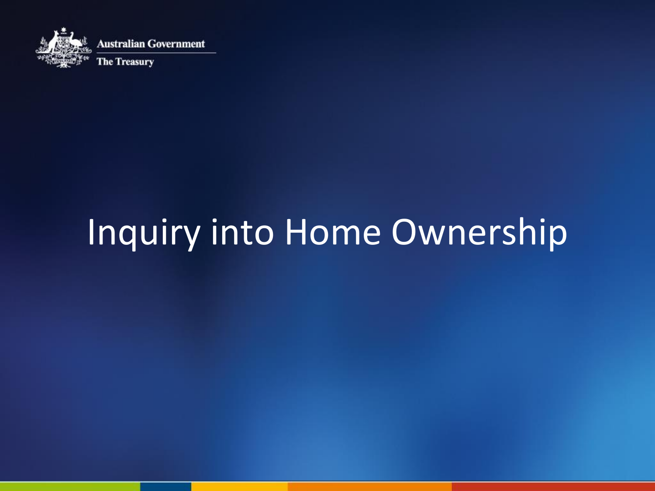

## Inquiry into Home Ownership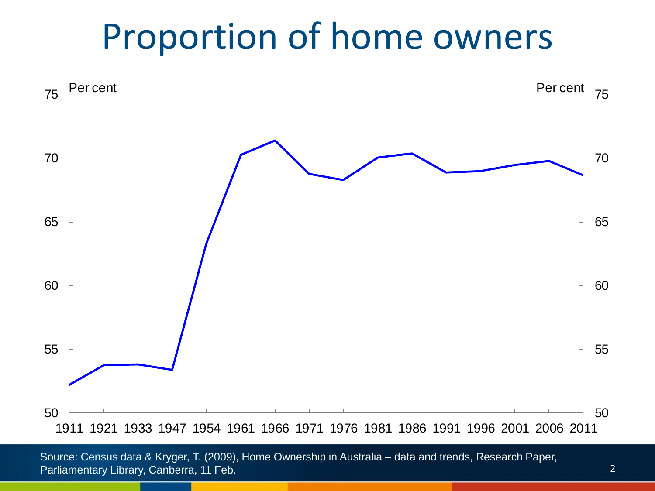#### Proportion of home owners



Source: Census data & Kryger, T. (2009), Home Ownership in Australia – data and trends, Research Paper, Parliamentary Library, Canberra, 11 Feb.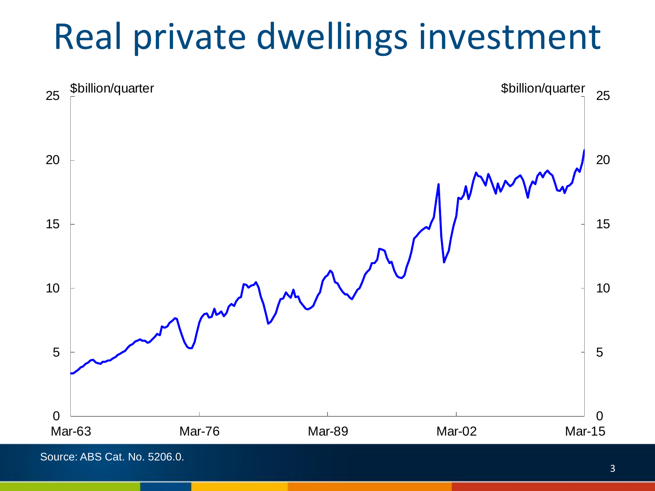#### Real private dwellings investment

![](_page_2_Figure_1.jpeg)

Source: ABS Cat. No. 5206.0.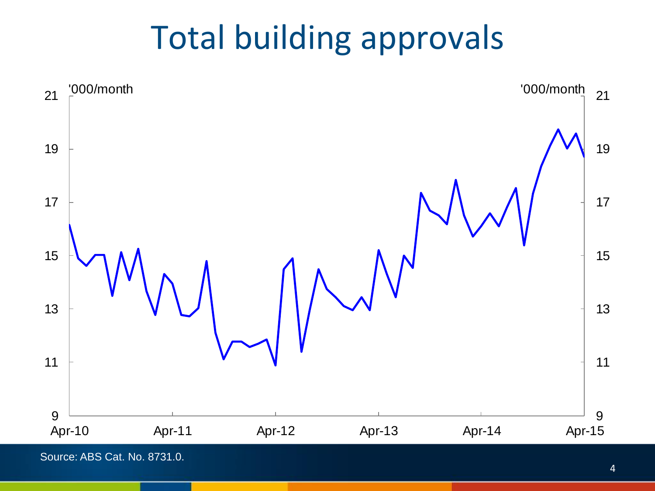#### Total building approvals

![](_page_3_Figure_1.jpeg)

Source: ABS Cat. No. 8731.0.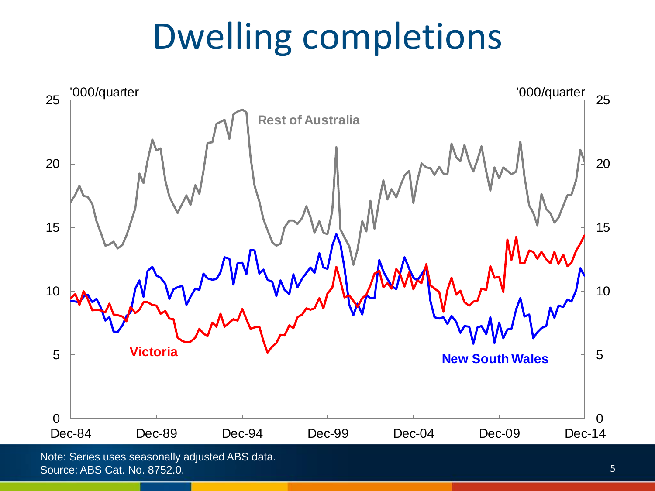# Dwelling completions

![](_page_4_Figure_1.jpeg)

Source: ABS Cat. No. 8752.0.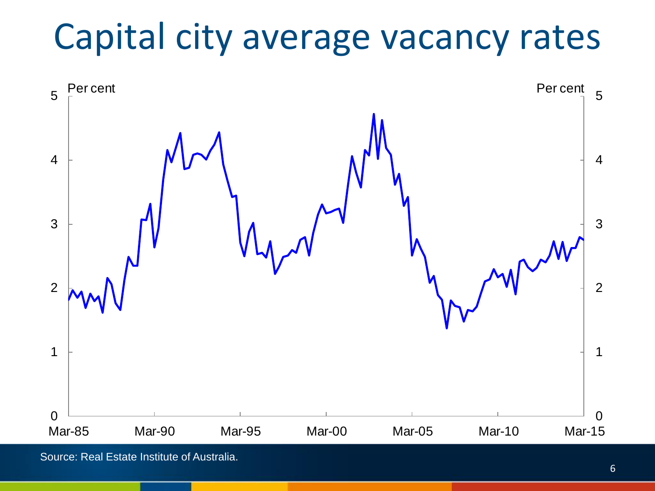## Capital city average vacancy rates

![](_page_5_Figure_1.jpeg)

Source: Real Estate Institute of Australia.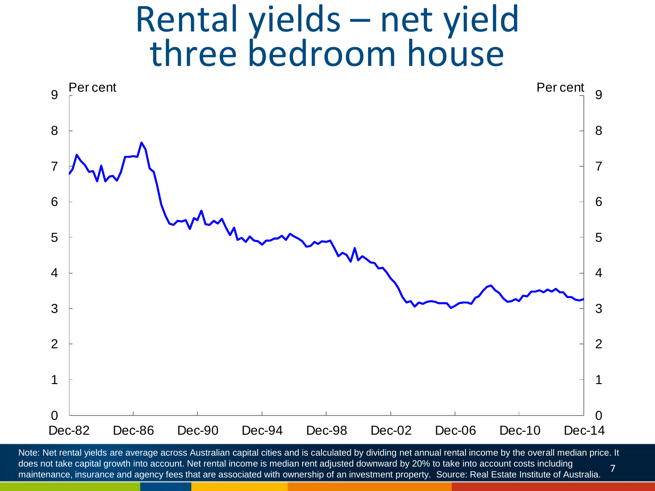#### Rental yields – net yield three bedroom house

![](_page_6_Figure_1.jpeg)

 Note: Net rental yields are average across Australian capital cities and is calculated by dividing net annual rental income by the overall median price. It does not take capital growth into account. Net rental income is median rent adjusted downward by 20% to take into account costs including maintenance, insurance and agency fees that are associated with ownership of an investment property. Source: Real Estate Institute of Australia.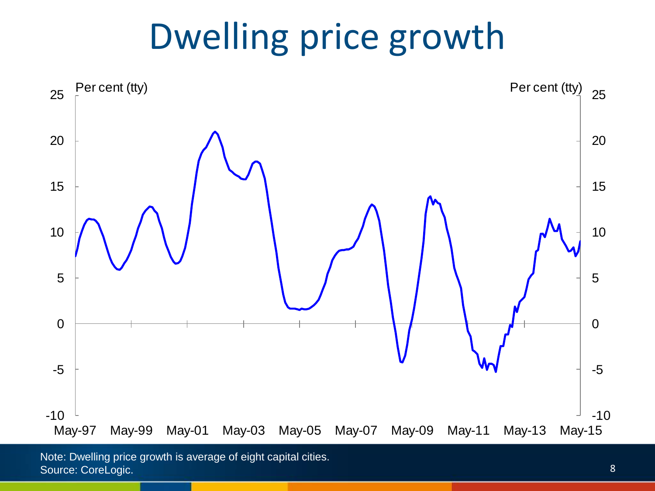## Dwelling price growth

![](_page_7_Figure_1.jpeg)

Note: Dwelling price growth is average of eight capital cities. Source: CoreLogic.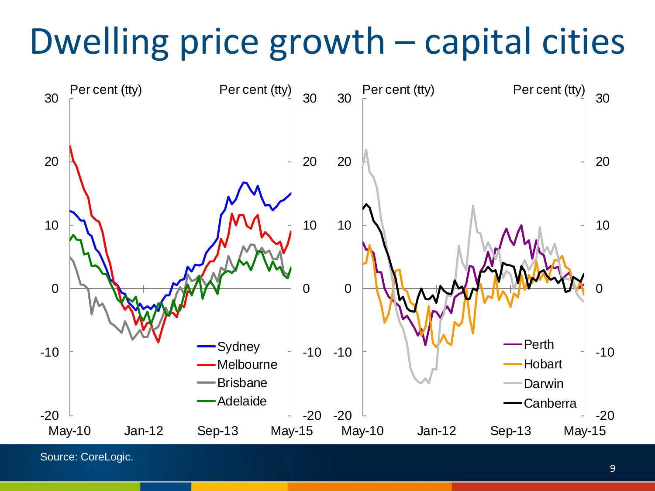# Dwelling price growth – capital cities

![](_page_8_Figure_1.jpeg)

Source: CoreLogic.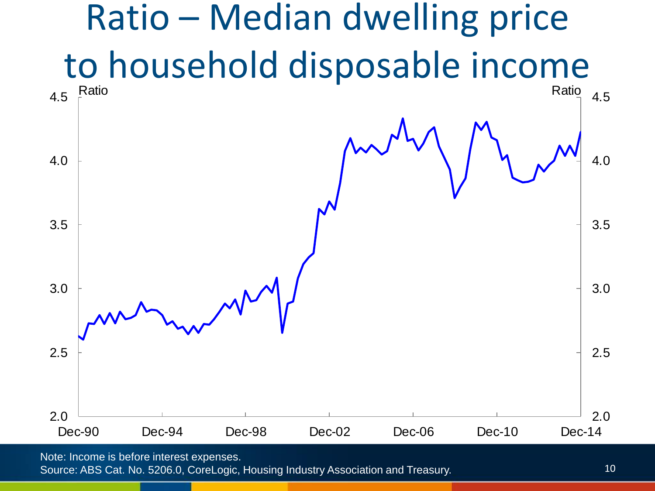![](_page_9_Figure_0.jpeg)

Note: Income is before interest expenses.

Source: ABS Cat. No. 5206.0, CoreLogic, Housing Industry Association and Treasury.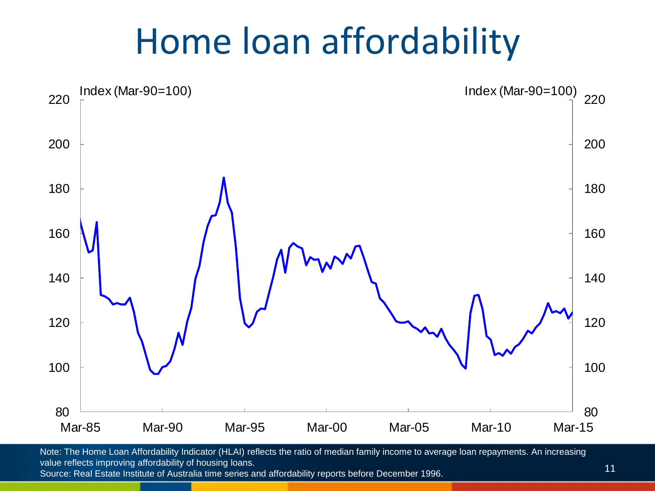#### Home loan affordability

![](_page_10_Figure_1.jpeg)

Note: The Home Loan Affordability Indicator (HLAI) reflects the ratio of median family income to average loan repayments. An increasing value reflects improving affordability of housing loans. Source: Real Estate Institute of Australia time series and affordability reports before December 1996.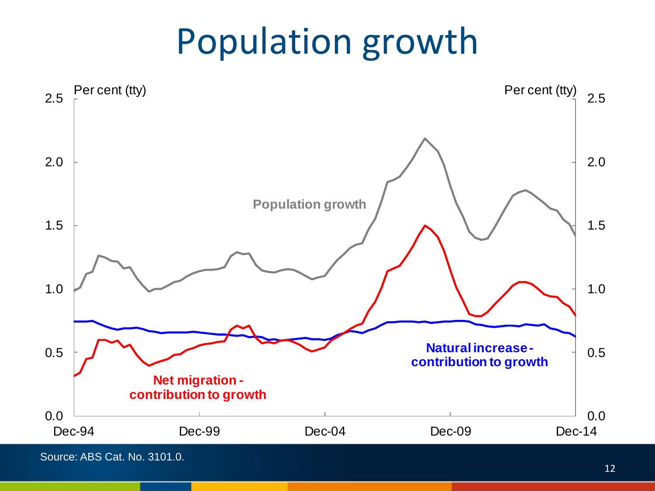## Population growth

![](_page_11_Figure_1.jpeg)

Source: ABS Cat. No. 3101.0.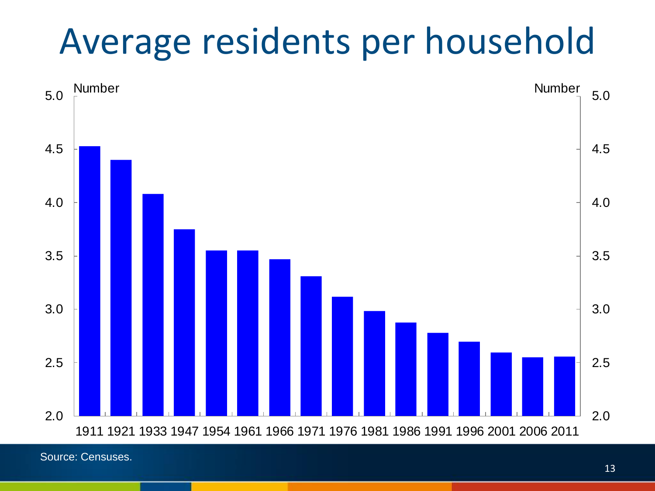## Average residents per household

![](_page_12_Figure_1.jpeg)

Source: Censuses.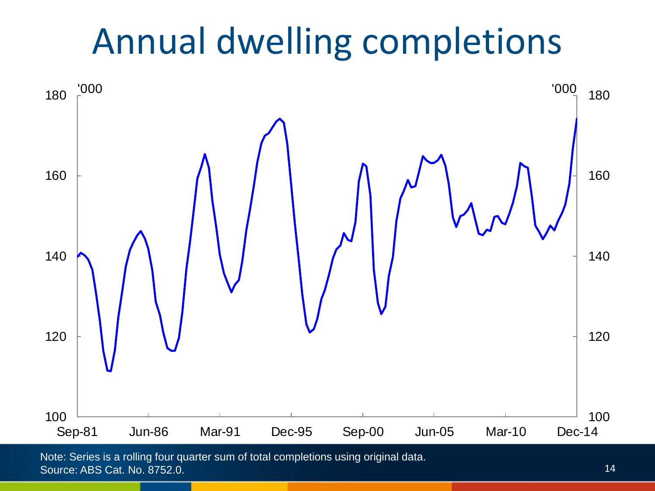## Annual dwelling completions

![](_page_13_Figure_1.jpeg)

Note: Series is a rolling four quarter sum of total completions using original data. Source: ABS Cat. No. 8752.0.